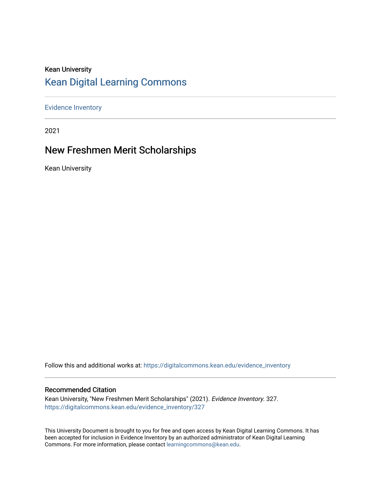#### Kean University [Kean Digital Learning Commons](https://digitalcommons.kean.edu/)

[Evidence Inventory](https://digitalcommons.kean.edu/evidence_inventory) 

2021

#### New Freshmen Merit Scholarships

Kean University

Follow this and additional works at: [https://digitalcommons.kean.edu/evidence\\_inventory](https://digitalcommons.kean.edu/evidence_inventory?utm_source=digitalcommons.kean.edu%2Fevidence_inventory%2F327&utm_medium=PDF&utm_campaign=PDFCoverPages)

#### Recommended Citation

Kean University, "New Freshmen Merit Scholarships" (2021). Evidence Inventory. 327. [https://digitalcommons.kean.edu/evidence\\_inventory/327](https://digitalcommons.kean.edu/evidence_inventory/327?utm_source=digitalcommons.kean.edu%2Fevidence_inventory%2F327&utm_medium=PDF&utm_campaign=PDFCoverPages)

This University Document is brought to you for free and open access by Kean Digital Learning Commons. It has been accepted for inclusion in Evidence Inventory by an authorized administrator of Kean Digital Learning Commons. For more information, please contact [learningcommons@kean.edu.](mailto:learningcommons@kean.edu)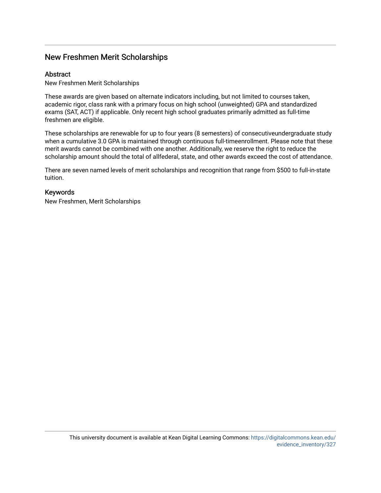#### New Freshmen Merit Scholarships

#### **Abstract**

New Freshmen Merit Scholarships

These awards are given based on alternate indicators including, but not limited to courses taken, academic rigor, class rank with a primary focus on high school (unweighted) GPA and standardized exams (SAT, ACT) if applicable. Only recent high school graduates primarily admitted as full-time freshmen are eligible.

These scholarships are renewable for up to four years (8 semesters) of consecutiveundergraduate study when a cumulative 3.0 GPA is maintained through continuous full-timeenrollment. Please note that these merit awards cannot be combined with one another. Additionally, we reserve the right to reduce the scholarship amount should the total of allfederal, state, and other awards exceed the cost of attendance.

There are seven named levels of merit scholarships and recognition that range from \$500 to full-in-state tuition.

#### Keywords

New Freshmen, Merit Scholarships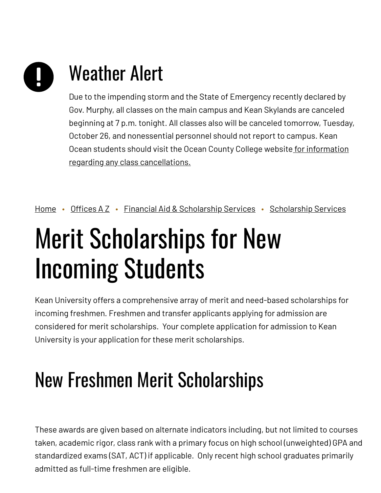# Weather Alert

Due to the impending storm and the State of Emergency recently declared by Gov. Murphy, all classes on the main campus and Kean Skylands are canceled beginning at 7 p.m. tonight. All classes also will be canceled tomorrow, Tuesday, October 26, and nonessential personnel should not report to campus. Kean Ocean students should visit the Ocean County College website for information regarding any class [cancellations.](https://www.ocean.edu/)

[Home](https://www.kean.edu/) • [Offices](https://www.kean.edu/offices) A Z • Financial Aid & [Scholarship](https://www.kean.edu/offices/financial-aid/scholarship-services) Services • Scholarship Services

# Merit Scholarships for New Incoming Students

Kean University offers a comprehensive array of merit and need-based scholarships for incoming freshmen. Freshmen and transfer applicants applying for admission are considered for merit scholarships. Your complete application for admission to Kean University is your application for these merit scholarships.

# New Freshmen Merit Scholarships

These awards are given based on alternate indicators including, but not limited to courses taken, academic rigor, class rank with a primary focus on high school (unweighted) GPA and standardized exams (SAT, ACT) if applicable. Only recent high school graduates primarily admitted as full-time freshmen are eligible.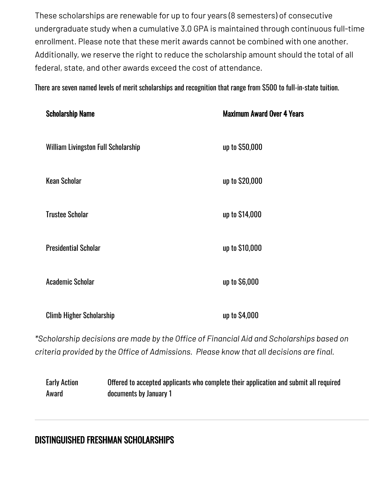These scholarships are renewable for up to four years (8 semesters) of consecutive undergraduate study when a cumulative 3.0 GPA is maintained through continuous full-time enrollment. Please note that these merit awards cannot be combined with one another. Additionally, we reserve the right to reduce the scholarship amount should the total of all federal, state, and other awards exceed the cost of attendance.

There are seven named levels of merit scholarships and recognition that range from \$500 to full-in-state tuition.

| <b>Scholarship Name</b>                    | <b>Maximum Award Over 4 Years</b> |
|--------------------------------------------|-----------------------------------|
| <b>William Livingston Full Scholarship</b> | up to \$50,000                    |
| <b>Kean Scholar</b>                        | up to \$20,000                    |
| <b>Trustee Scholar</b>                     | up to \$14,000                    |
| <b>Presidential Scholar</b>                | up to \$10,000                    |
| <b>Academic Scholar</b>                    | up to \$6,000                     |
| <b>Climb Higher Scholarship</b>            | up to \$4,000                     |

*\*Scholarship decisions are made by the Office of Financial Aid and Scholarships based on criteria provided by the Office of Admissions. Please know that all decisions are final.*

Early Action Award Offered to accepted applicants who complete their application and submit all required documents by January 1

### DISTINGUISHED FRESHMAN SCHOLARSHIPS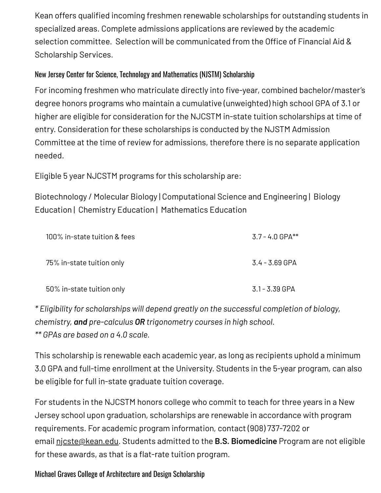Kean offers qualified incoming freshmen renewable scholarships for outstanding students in specialized areas. Complete admissions applications are reviewed by the academic selection committee. Selection will be communicated from the Office of Financial Aid & Scholarship Services.

#### New Jersey Center for Science, Technology and Mathematics (NJSTM) Scholarship

For incoming freshmen who matriculate directly into five-year, combined bachelor/master's degree honors programs who maintain a cumulative (unweighted) high school GPA of 3.1 or higher are eligible for consideration for the NJCSTM in-state tuition scholarships at time of entry. Consideration for these scholarships is conducted by the NJSTM Admission Committee at the time of review for admissions, therefore there is no separate application needed.

Eligible 5 year NJCSTM programs for this scholarship are:

Biotechnology / Molecular Biology | Computational Science and Engineering | Biology Education | Chemistry Education | Mathematics Education

| 100% in-state tuition & fees | $3.7 - 4.0$ GPA** |
|------------------------------|-------------------|
| 75% in-state tuition only    | 3.4 - 3.69 GPA    |
| 50% in-state tuition only    | $3.1 - 3.39$ GPA  |

*\* Eligibility for scholarships will depend greatly on the successful completion of biology, chemistry, and pre-calculus OR trigonometry courses in high school. \*\* GPAs are based on a 4.0 scale.*

This scholarship is renewable each academic year, as long as recipients uphold a minimum 3.0 GPA and full-time enrollment at the University. Students in the 5-year program, can also be eligible for full in-state graduate tuition coverage.

For students in the NJCSTM honors college who commit to teach for three years in a New Jersey school upon graduation, scholarships are renewable in accordance with program requirements. For academic program information, contact (908) 737-7202 or email [njcste@kean.edu](mailto:njcste@kean.edu). Students admitted to the **B.S. Biomedicine** Program are not eligible for these awards, as that is a flat-rate tuition program.

Michael Graves College of Architecture and Design Scholarship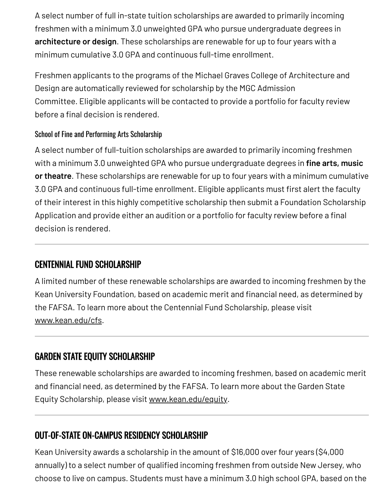A select number of full in-state tuition scholarships are awarded to primarily incoming freshmen with a minimum 3.0 unweighted GPA who pursue undergraduate degrees in **architecture or design**. These scholarships are renewable for up to four years with a minimum cumulative 3.0 GPA and continuous full-time enrollment.

Freshmen applicants to the programs of the Michael Graves College of Architecture and Design are automatically reviewed for scholarship by the MGC Admission Committee. Eligible applicants will be contacted to provide a portfolio for faculty review before a final decision is rendered.

#### School of Fine and Performing Arts Scholarship

A select number of full-tuition scholarships are awarded to primarily incoming freshmen with a minimum 3.0 unweighted GPA who pursue undergraduate degrees in **fine arts, music or theatre**. These scholarships are renewable for up to four years with a minimum cumulative 3.0 GPA and continuous full-time enrollment. Eligible applicants must first alert the faculty of their interest in this highly competitive scholarship then submit a Foundation Scholarship Application and provide either an audition or a portfolio for faculty review before a final decision is rendered.

### CENTENNIAL FUND SCHOLARSHIP

A limited number of these renewable scholarships are awarded to incoming freshmen by the Kean University Foundation, based on academic merit and financial need, as determined by the FAFSA. To learn more about the Centennial Fund Scholarship, please visit [www.kean.edu/cfs.](https://www.kean.edu/offices/scholarships-services/centennial-fund-scholarship)

# GARDEN STATE EQUITY SCHOLARSHIP

These renewable scholarships are awarded to incoming freshmen, based on academic merit and financial need, as determined by the FAFSA. To learn more about the Garden State Equity Scholarship, please visit [www.kean.edu/equity.](https://www.kean.edu/equality)

# OUT-OF-STATE ON-CAMPUS RESIDENCY SCHOLARSHIP

Kean University awards a scholarship in the amount of \$16,000 over four years (\$4,000 annually) to a select number of qualified incoming freshmen from outside New Jersey, who choose to live on campus. Students must have a minimum 3.0 high school GPA, based on the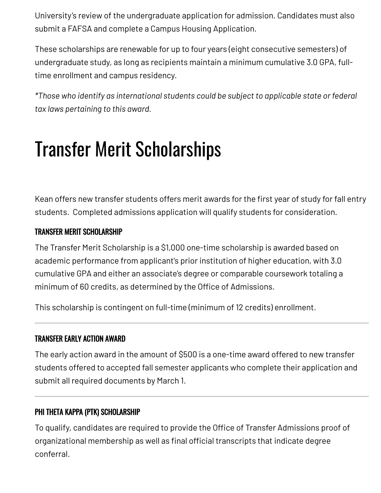University's review of the undergraduate application for admission. Candidates must also submit a FAFSA and complete a Campus Housing Application.

These scholarships are renewable for up to four years (eight consecutive semesters) of undergraduate study, as long as recipients maintain a minimum cumulative 3.0 GPA, fulltime enrollment and campus residency.

*\*Those who identify as international students could be subject to applicable state or federal tax laws pertaining to this award.*

# Transfer Merit Scholarships

Kean offers new transfer students offers merit awards for the first year of study for fall entry students. Completed admissions application will qualify students for consideration.

#### TRANSFER MERIT SCHOLARSHIP

The Transfer Merit Scholarship is a \$1,000 one-time scholarship is awarded based on academic performance from applicant's prior institution of higher education, with 3.0 cumulative GPA and either an associate's degree or comparable coursework totaling a minimum of 60 credits, as determined by the Office of Admissions.

This scholarship is contingent on full-time (minimum of 12 credits) enrollment.

#### TRANSFER EARLY ACTION AWARD

The early action award in the amount of \$500 is a one-time award offered to new transfer students offered to accepted fall semester applicants who complete their application and submit all required documents by March 1.

#### PHI THETA KAPPA (PTK) SCHOLARSHIP

To qualify, candidates are required to provide the Office of Transfer Admissions proof of organizational membership as well as final official transcripts that indicate degree conferral.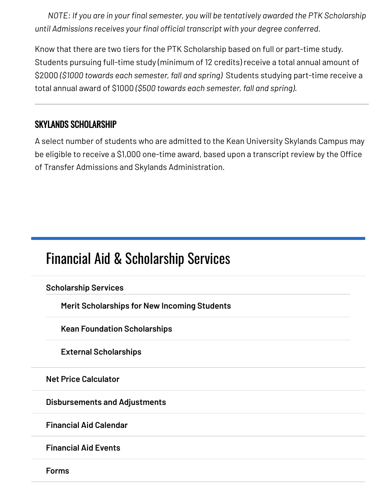*NOTE: If you are in your final semester, you will be tentatively awarded the PTK Scholarship until Admissions receives your final official transcript with your degree conferred.*

Know that there are two tiers for the PTK Scholarship based on full or part-time study. Students pursuing full-time study (minimum of 12 credits) receive a total annual amount of \$2000 *(\$1000 towards each semester, fall and spring)* Students studying part-time receive a total annual award of \$1000 *(\$500 towards each semester, fall and spring)*.

### SKYLANDS SCHOLARSHIP

A select number of students who are admitted to the Kean University Skylands Campus may be eligible to receive a \$1,000 one-time award, based upon a transcript review by the Office of Transfer Admissions and Skylands Administration.

# Financial Aid & [Scholarship](https://www.kean.edu/offices/financial-aid) Services

**[Scholarship](https://www.kean.edu/offices/financial-aid/scholarship-services) Services**

**Merit [Scholarships](https://www.kean.edu/offices/financial-aid/scholarship-services/merit-scholarships-new-incoming-students) for New Incoming Students**

**Kean Foundation [Scholarships](https://www.kean.edu/offices/financial-aid/scholarship-services/kean-foundation-scholarships)**

**External [Scholarships](https://www.kean.edu/offices/financial-aid/scholarship-services/external-scholarships)**

**Net Price [Calculator](https://www.kean.edu/offices/financial-aid/financial-aid-estimators)**

**[Disbursements](https://www.kean.edu/offices/financial-aid/disbursements-and-adjustments) and Adjustments**

**[Financial](https://www.kean.edu/offices/financial-aid/financial-aid-calendar) Aid Calendar**

**[Financial](https://www.kean.edu/offices/financial-aid/financial-aid-events) Aid Events**

**[Forms](https://www.kean.edu/offices/financial-aid/financial-aid-forms)**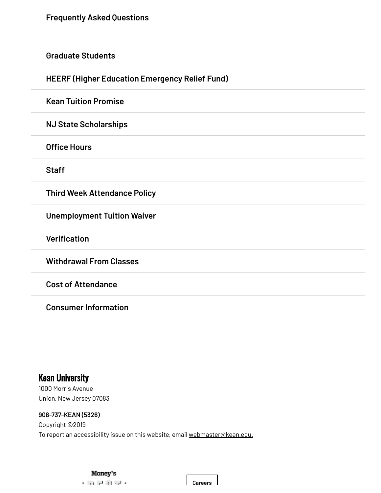**[Graduate](https://www.kean.edu/offices/financial-aid/graduate-students) Students**

**HEERF (Higher Education [Emergency](https://www.kean.edu/offices/financial-aid/heerf-higher-education-emergency-relief-fund) Relief Fund)**

**Kean Tuition [Promise](https://www.kean.edu/offices/financial-aid/kean-tuition-promise)**

**NJ State [Scholarships](https://www.kean.edu/offices/financial-aid/nj-state-scholarships)**

**[Office](https://www.kean.edu/offices/financial-aid/financial-aid-office-hours) Hours**

**[Staff](https://www.kean.edu/financial-aid-staff)**

**Third Week [Attendance](https://www.kean.edu/offices/financial-aid/third-week-attendance-policy) Policy**

**[Unemployment](https://www.kean.edu/offices/financial-aid/unemployment-tuition-waiver) Tuition Waiver**

**[Verification](https://www.kean.edu/offices/financial-aid/verification)**

**[Withdrawal](https://www.kean.edu/offices/financial-aid/withdrawal-classes) From Classes**

**Cost of [Attendance](https://www.kean.edu/offices/financial-aid/cost-attendance)**

**Consumer [Information](https://www.kean.edu/offices/financial-aid/consumer-information)**

#### Kean University

1000 Morris Avenue Union, New Jersey 07083

#### **[908-737-KEAN](tel:908-737-5326) (5326)**

Copyright ©2019 To report an accessibility issue on this website, email [webmaster@kean.edu.](mailto:webmaster@kean.edu)

**[Careers](https://www.kean.edu/offices/human-resources/employment)**